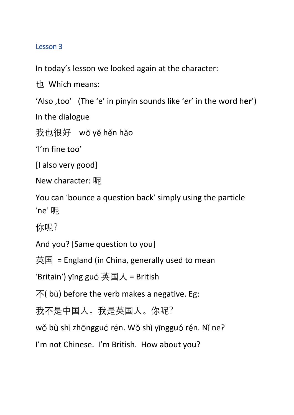## Lesson 3

In today's lesson we looked again at the character:

也 Which means:

'Also ,too' (The 'e' in pinyin sounds like '*er*' in the word h**er**')

In the dialogue

我也很好 wǒ yě hěn hǎo

'I'm fine too'

[I also very good]

New character: 呢

You can 'bounce a question back' simply using the particle 'ne' 呢

你呢?

And you? [Same question to you]

英国 = England (in China, generally used to mean

'Britain') yīng guó 英国人 = British

 $\bar{\text{F}}$ (bù) before the verb makes a negative. Eg:

我不是中国人。我是英国人。你呢?

wǒ bù shì zhōngguó rén. Wǒ shì yīngguó rén. Nǐ ne?

I'm not Chinese. I'm British. How about you?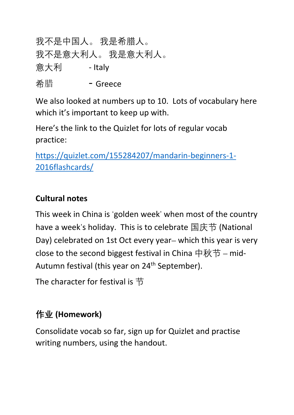我不是中国人。 我是希腊人。 我不是意大利人。 我是意大利人。 <u> 意大利 Fitaly</u> <sup>希</sup><sup>腊</sup> - Greece

We also looked at numbers up to 10. Lots of vocabulary here which it's important to keep up with.

Here's the link to the Quizlet for lots of regular vocab practice:

[https://quizlet.com/155284207/mandarin-beginners-1-](https://quizlet.com/155284207/mandarin-beginners-1-2016flashcards/) [2016flashcards/](https://quizlet.com/155284207/mandarin-beginners-1-2016flashcards/) 

## **Cultural notes**

This week in China is 'golden week' when most of the country have a week's holiday. This is to celebrate 国庆节 (National Day) celebrated on 1st Oct every year– which this year is very close to the second biggest festival in China 中秋节 – mid-Autumn festival (this year on 24<sup>th</sup> September).

The character for festival is 节

## **作业 (Homework)**

Consolidate vocab so far, sign up for Quizlet and practise writing numbers, using the handout.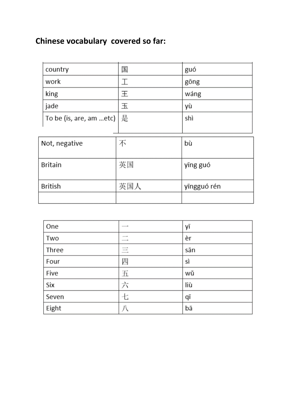## **Chinese vocabulary covered so far:**

| country                 | 国   | guó         |
|-------------------------|-----|-------------|
| work                    | I   | gōng        |
| king                    | 王   | wáng        |
| jade                    | 玉   | уù          |
| To be (is, are, am etc) | 是   | shì         |
|                         |     |             |
| Not, negative           | 不   | bù          |
| <b>Britain</b>          | 英国  | yīng guó    |
| <b>British</b>          | 英国人 | yīngguó rén |

| One   | <b>STATISTICS</b> | уī  |
|-------|-------------------|-----|
| Two   | $-1$<br>$- - -$   | èr  |
| Three | sound.<br>------- | sān |
| Four  | 四                 | sì  |
| Five  | 五                 | wŭ  |
| Six   | 六                 | liù |
| Seven | セ                 | qī  |
| Eight |                   | bā  |